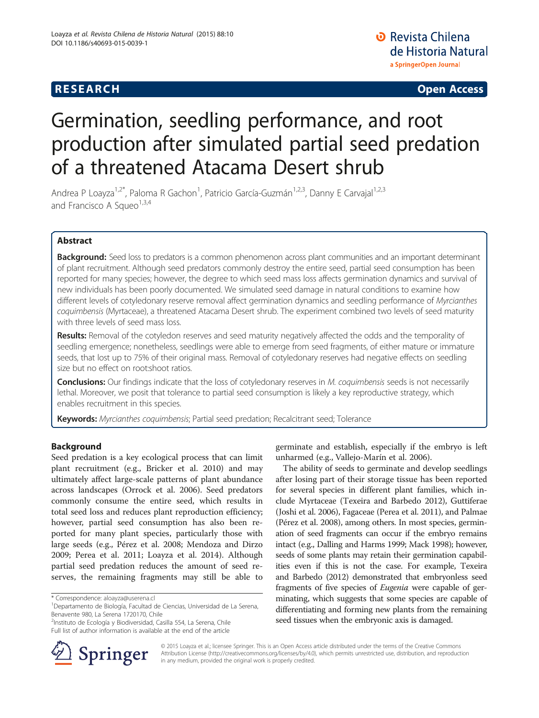## **RESEARCH CHINESE ARCH CHINESE ARCH CHINESE ARCH <b>CHINESE ARCH**

**D** Revista Chilena de Historia Natural a SpringerOpen Journal

# Germination, seedling performance, and root production after simulated partial seed predation of a threatened Atacama Desert shrub

Andrea P Loayza<sup>1,2\*</sup>, Paloma R Gachon<sup>1</sup>, Patricio García-Guzmán<sup>1,2,3</sup>, Danny E Carvajal<sup>1,2,3</sup> and Francisco A Squeo $^{1,3,4}$ 

## Abstract

Background: Seed loss to predators is a common phenomenon across plant communities and an important determinant of plant recruitment. Although seed predators commonly destroy the entire seed, partial seed consumption has been reported for many species; however, the degree to which seed mass loss affects germination dynamics and survival of new individuals has been poorly documented. We simulated seed damage in natural conditions to examine how different levels of cotyledonary reserve removal affect germination dynamics and seedling performance of Myrcianthes coquimbensis (Myrtaceae), a threatened Atacama Desert shrub. The experiment combined two levels of seed maturity with three levels of seed mass loss.

Results: Removal of the cotyledon reserves and seed maturity negatively affected the odds and the temporality of seedling emergence; nonetheless, seedlings were able to emerge from seed fragments, of either mature or immature seeds, that lost up to 75% of their original mass. Removal of cotyledonary reserves had negative effects on seedling size but no effect on root:shoot ratios.

Conclusions: Our findings indicate that the loss of cotyledonary reserves in M. coquimbensis seeds is not necessarily lethal. Moreover, we posit that tolerance to partial seed consumption is likely a key reproductive strategy, which enables recruitment in this species.

Keywords: Myrcianthes coquimbensis; Partial seed predation; Recalcitrant seed; Tolerance

## Background

Seed predation is a key ecological process that can limit plant recruitment (e.g., Bricker et al. [2010](#page-6-0)) and may ultimately affect large-scale patterns of plant abundance across landscapes (Orrock et al. [2006](#page-7-0)). Seed predators commonly consume the entire seed, which results in total seed loss and reduces plant reproduction efficiency; however, partial seed consumption has also been reported for many plant species, particularly those with large seeds (e.g., Pérez et al. [2008](#page-7-0); Mendoza and Dirzo [2009](#page-7-0); Perea et al. [2011](#page-7-0); Loayza et al. [2014](#page-7-0)). Although partial seed predation reduces the amount of seed reserves, the remaining fragments may still be able to



The ability of seeds to germinate and develop seedlings after losing part of their storage tissue has been reported for several species in different plant families, which include Myrtaceae (Texeira and Barbedo [2012\)](#page-7-0), Guttiferae (Joshi et al. [2006\)](#page-7-0), Fagaceae (Perea et al. [2011\)](#page-7-0), and Palmae (Pérez et al. [2008](#page-7-0)), among others. In most species, germination of seed fragments can occur if the embryo remains intact (e.g., Dalling and Harms [1999](#page-6-0); Mack [1998](#page-7-0)); however, seeds of some plants may retain their germination capabilities even if this is not the case. For example, Texeira and Barbedo ([2012\)](#page-7-0) demonstrated that embryonless seed fragments of five species of *Eugenia* were capable of germinating, which suggests that some species are capable of differentiating and forming new plants from the remaining seed tissues when the embryonic axis is damaged.



© 2015 Loayza et al.; licensee Springer. This is an Open Access article distributed under the terms of the Creative Commons Attribution License [\(http://creativecommons.org/licenses/by/4.0\)](http://creativecommons.org/licenses/by/4.0), which permits unrestricted use, distribution, and reproduction in any medium, provided the original work is properly credited.

<sup>\*</sup> Correspondence: [aloayza@userena.cl](mailto:aloayza@userena.cl) <sup>1</sup>

Departamento de Biología, Facultad de Ciencias, Universidad de La Serena, Benavente 980, La Serena 1720170, Chile

<sup>&</sup>lt;sup>2</sup>Instituto de Ecología y Biodiversidad, Casilla 554, La Serena, Chile Full list of author information is available at the end of the article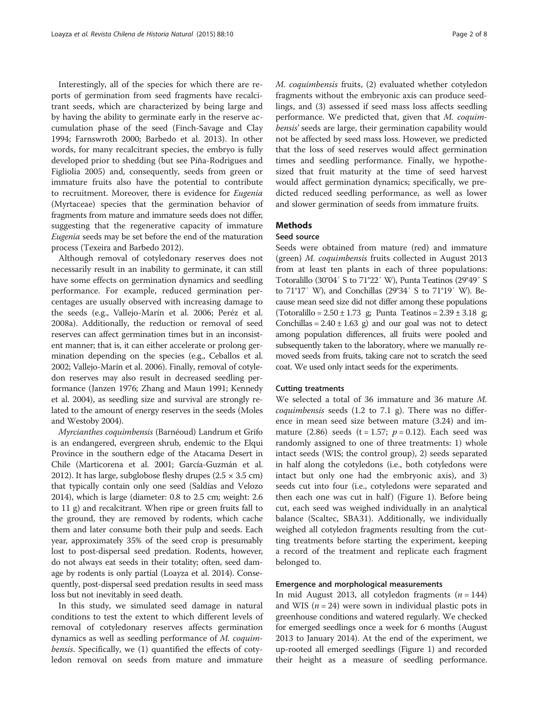Interestingly, all of the species for which there are reports of germination from seed fragments have recalcitrant seeds, which are characterized by being large and by having the ability to germinate early in the reserve accumulation phase of the seed (Finch-Savage and Clay [1994](#page-6-0); Farnswroth [2000;](#page-6-0) Barbedo et al. [2013](#page-6-0)). In other words, for many recalcitrant species, the embryo is fully developed prior to shedding (but see Piña-Rodrigues and Figliolia [2005](#page-7-0)) and, consequently, seeds from green or immature fruits also have the potential to contribute to recruitment. Moreover, there is evidence for Eugenia (Myrtaceae) species that the germination behavior of fragments from mature and immature seeds does not differ, suggesting that the regenerative capacity of immature Eugenia seeds may be set before the end of the maturation process (Texeira and Barbedo [2012\)](#page-7-0).

Although removal of cotyledonary reserves does not necessarily result in an inability to germinate, it can still have some effects on germination dynamics and seedling performance. For example, reduced germination percentages are usually observed with increasing damage to the seeds (e.g., Vallejo-Marín et al. [2006;](#page-7-0) Peréz et al. [2008](#page-7-0)a). Additionally, the reduction or removal of seed reserves can affect germination times but in an inconsistent manner; that is, it can either accelerate or prolong germination depending on the species (e.g., Ceballos et al. [2002;](#page-6-0) Vallejo-Marín et al. [2006](#page-7-0)). Finally, removal of cotyledon reserves may also result in decreased seedling performance (Janzen [1976;](#page-6-0) Zhang and Maun [1991;](#page-7-0) Kennedy et al. [2004\)](#page-7-0), as seedling size and survival are strongly related to the amount of energy reserves in the seeds (Moles and Westoby [2004](#page-7-0)).

Myrcianthes coquimbensis (Barnéoud) Landrum et Grifo is an endangered, evergreen shrub, endemic to the Elqui Province in the southern edge of the Atacama Desert in Chile (Marticorena et al. [2001;](#page-7-0) García-Guzmán et al. [2012\)](#page-6-0). It has large, subglobose fleshy drupes  $(2.5 \times 3.5 \text{ cm})$ that typically contain only one seed (Saldías and Velozo [2014\)](#page-7-0), which is large (diameter: 0.8 to 2.5 cm; weight: 2.6 to 11 g) and recalcitrant. When ripe or green fruits fall to the ground, they are removed by rodents, which cache them and later consume both their pulp and seeds. Each year, approximately 35% of the seed crop is presumably lost to post-dispersal seed predation. Rodents, however, do not always eat seeds in their totality; often, seed damage by rodents is only partial (Loayza et al. [2014\)](#page-7-0). Consequently, post-dispersal seed predation results in seed mass loss but not inevitably in seed death.

In this study, we simulated seed damage in natural conditions to test the extent to which different levels of removal of cotyledonary reserves affects germination dynamics as well as seedling performance of M. coquimbensis. Specifically, we (1) quantified the effects of cotyledon removal on seeds from mature and immature M. coquimbensis fruits, (2) evaluated whether cotyledon fragments without the embryonic axis can produce seedlings, and (3) assessed if seed mass loss affects seedling performance. We predicted that, given that M. coquimbensis' seeds are large, their germination capability would not be affected by seed mass loss. However, we predicted that the loss of seed reserves would affect germination times and seedling performance. Finally, we hypothesized that fruit maturity at the time of seed harvest would affect germination dynamics; specifically, we predicted reduced seedling performance, as well as lower and slower germination of seeds from immature fruits.

## **Methods**

## Seed source

Seeds were obtained from mature (red) and immature (green) M. coquimbensis fruits collected in August 2013 from at least ten plants in each of three populations: Totoralillo (30°04′ S to 71°22′ W), Punta Teatinos (29°49′ S to 71°17′ W), and Conchillas (29°34′ S to 71°19′ W). Because mean seed size did not differ among these populations  $(Totoralllo = 2.50 \pm 1.73 \text{ g}$ ; Punta Teatinos = 2.39  $\pm$  3.18 g; Conchillas =  $2.40 \pm 1.63$  g) and our goal was not to detect among population differences, all fruits were pooled and subsequently taken to the laboratory, where we manually removed seeds from fruits, taking care not to scratch the seed coat. We used only intact seeds for the experiments.

### Cutting treatments

We selected a total of 36 immature and 36 mature M. coquimbensis seeds (1.2 to 7.1 g). There was no difference in mean seed size between mature (3.24) and immature (2.86) seeds (t = 1.57;  $p = 0.12$ ). Each seed was randomly assigned to one of three treatments: 1) whole intact seeds (WIS; the control group), 2) seeds separated in half along the cotyledons (i.e., both cotyledons were intact but only one had the embryonic axis), and 3) seeds cut into four (i.e., cotyledons were separated and then each one was cut in half) (Figure [1\)](#page-2-0). Before being cut, each seed was weighed individually in an analytical balance (Scaltec, SBA31). Additionally, we individually weighed all cotyledon fragments resulting from the cutting treatments before starting the experiment, keeping a record of the treatment and replicate each fragment belonged to.

## Emergence and morphological measurements

In mid August 2013, all cotyledon fragments  $(n = 144)$ and WIS ( $n = 24$ ) were sown in individual plastic pots in greenhouse conditions and watered regularly. We checked for emerged seedlings once a week for 6 months (August 2013 to January 2014). At the end of the experiment, we up-rooted all emerged seedlings (Figure [1](#page-2-0)) and recorded their height as a measure of seedling performance.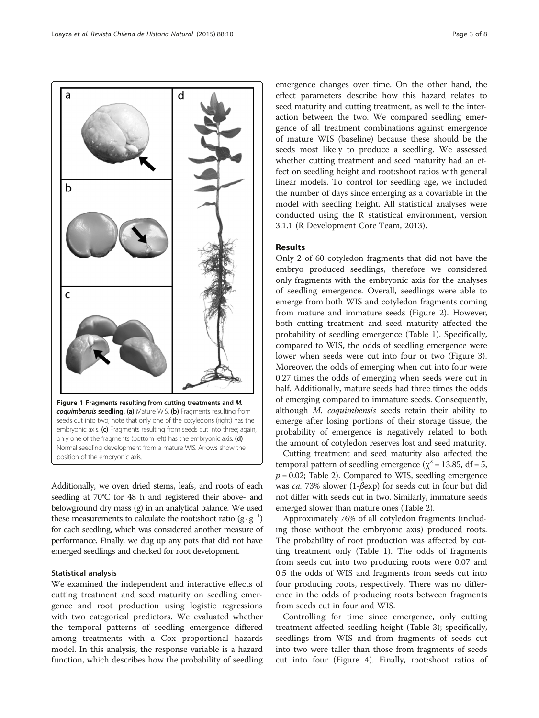<span id="page-2-0"></span>

embryonic axis. (c) Fragments resulting from seeds cut into three; again, only one of the fragments (bottom left) has the embryonic axis. (d) Normal seedling development from a mature WIS. Arrows show the position of the embryonic axis.

Additionally, we oven dried stems, leafs, and roots of each seedling at 70°C for 48 h and registered their above- and belowground dry mass (g) in an analytical balance. We used these measurements to calculate the root:shoot ratio  $(g \cdot g^{-1})$ for each seedling, which was considered another measure of performance. Finally, we dug up any pots that did not have emerged seedlings and checked for root development.

## Statistical analysis

We examined the independent and interactive effects of cutting treatment and seed maturity on seedling emergence and root production using logistic regressions with two categorical predictors. We evaluated whether the temporal patterns of seedling emergence differed among treatments with a Cox proportional hazards model. In this analysis, the response variable is a hazard function, which describes how the probability of seedling

emergence changes over time. On the other hand, the effect parameters describe how this hazard relates to seed maturity and cutting treatment, as well to the interaction between the two. We compared seedling emergence of all treatment combinations against emergence of mature WIS (baseline) because these should be the seeds most likely to produce a seedling. We assessed whether cutting treatment and seed maturity had an effect on seedling height and root:shoot ratios with general linear models. To control for seedling age, we included the number of days since emerging as a covariable in the model with seedling height. All statistical analyses were conducted using the R statistical environment, version 3.1.1 (R Development Core Team, [2013\)](#page-6-0).

#### Results

Only 2 of 60 cotyledon fragments that did not have the embryo produced seedlings, therefore we considered only fragments with the embryonic axis for the analyses of seedling emergence. Overall, seedlings were able to emerge from both WIS and cotyledon fragments coming from mature and immature seeds (Figure [2\)](#page-3-0). However, both cutting treatment and seed maturity affected the probability of seedling emergence (Table [1](#page-3-0)). Specifically, compared to WIS, the odds of seedling emergence were lower when seeds were cut into four or two (Figure [3](#page-4-0)). Moreover, the odds of emerging when cut into four were 0.27 times the odds of emerging when seeds were cut in half. Additionally, mature seeds had three times the odds of emerging compared to immature seeds. Consequently, although M. coquimbensis seeds retain their ability to emerge after losing portions of their storage tissue, the probability of emergence is negatively related to both the amount of cotyledon reserves lost and seed maturity.

Cutting treatment and seed maturity also affected the temporal pattern of seedling emergence ( $\chi^2$  = 13.85, df = 5,  $p = 0.02$ ; Table [2](#page-4-0)). Compared to WIS, seedling emergence was ca. 73% slower (1-βexp) for seeds cut in four but did not differ with seeds cut in two. Similarly, immature seeds emerged slower than mature ones (Table [2](#page-4-0)).

Approximately 76% of all cotyledon fragments (including those without the embryonic axis) produced roots. The probability of root production was affected by cutting treatment only (Table [1\)](#page-3-0). The odds of fragments from seeds cut into two producing roots were 0.07 and 0.5 the odds of WIS and fragments from seeds cut into four producing roots, respectively. There was no difference in the odds of producing roots between fragments from seeds cut in four and WIS.

Controlling for time since emergence, only cutting treatment affected seedling height (Table [3](#page-5-0)); specifically, seedlings from WIS and from fragments of seeds cut into two were taller than those from fragments of seeds cut into four (Figure [4](#page-5-0)). Finally, root:shoot ratios of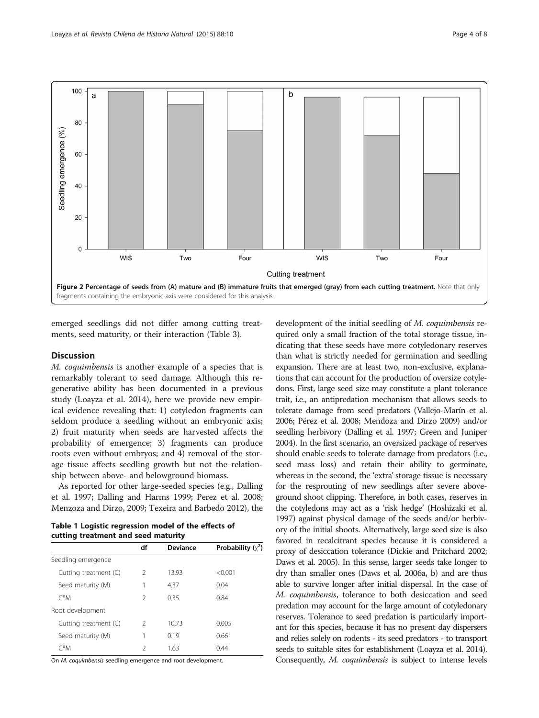<span id="page-3-0"></span>

emerged seedlings did not differ among cutting treatments, seed maturity, or their interaction (Table [3\)](#page-5-0).

## **Discussion**

M. coquimbensis is another example of a species that is remarkably tolerant to seed damage. Although this regenerative ability has been documented in a previous study (Loayza et al. [2014\)](#page-7-0), here we provide new empirical evidence revealing that: 1) cotyledon fragments can seldom produce a seedling without an embryonic axis; 2) fruit maturity when seeds are harvested affects the probability of emergence; 3) fragments can produce roots even without embryos; and 4) removal of the storage tissue affects seedling growth but not the relationship between above- and belowground biomass.

As reported for other large-seeded species (e.g., Dalling et al. [1997](#page-6-0); Dalling and Harms [1999](#page-6-0); Perez et al. [2008](#page-7-0); Menzoza and Dirzo, [2009;](#page-7-0) Texeira and Barbedo [2012\)](#page-7-0), the

Table 1 Logistic regression model of the effects of cutting treatment and seed maturity

| df            | <b>Deviance</b> | Probability $(x^2)$ |
|---------------|-----------------|---------------------|
|               |                 |                     |
| $\mathcal{P}$ | 13.93           | < 0.001             |
|               | 4.37            | 0.04                |
| $\mathcal{P}$ | 0.35            | 0.84                |
|               |                 |                     |
| $\mathcal{P}$ | 10.73           | 0.005               |
|               | 0.19            | 0.66                |
| 2             | 1.63            | 0.44                |
|               |                 |                     |

On M. coquimbensis seedling emergence and root development.

development of the initial seedling of M. coquimbensis required only a small fraction of the total storage tissue, indicating that these seeds have more cotyledonary reserves than what is strictly needed for germination and seedling expansion. There are at least two, non-exclusive, explanations that can account for the production of oversize cotyledons. First, large seed size may constitute a plant tolerance trait, i.e., an antipredation mechanism that allows seeds to tolerate damage from seed predators (Vallejo-Marín et al. [2006;](#page-7-0) Pérez et al. [2008;](#page-7-0) Mendoza and Dirzo [2009](#page-7-0)) and/or seedling herbivory (Dalling et al. [1997;](#page-6-0) Green and Juniper [2004\)](#page-6-0). In the first scenario, an oversized package of reserves should enable seeds to tolerate damage from predators (i.e., seed mass loss) and retain their ability to germinate, whereas in the second, the 'extra' storage tissue is necessary for the resprouting of new seedlings after severe aboveground shoot clipping. Therefore, in both cases, reserves in the cotyledons may act as a 'risk hedge' (Hoshizaki et al. [1997\)](#page-6-0) against physical damage of the seeds and/or herbivory of the initial shoots. Alternatively, large seed size is also favored in recalcitrant species because it is considered a proxy of desiccation tolerance (Dickie and Pritchard [2002](#page-6-0); Daws et al. [2005\)](#page-6-0). In this sense, larger seeds take longer to dry than smaller ones (Daws et al. [2006a](#page-6-0), [b](#page-6-0)) and are thus able to survive longer after initial dispersal. In the case of M. coquimbensis, tolerance to both desiccation and seed predation may account for the large amount of cotyledonary reserves. Tolerance to seed predation is particularly important for this species, because it has no present day dispersers and relies solely on rodents - its seed predators - to transport seeds to suitable sites for establishment (Loayza et al. [2014\)](#page-7-0). Consequently, M. coquimbensis is subject to intense levels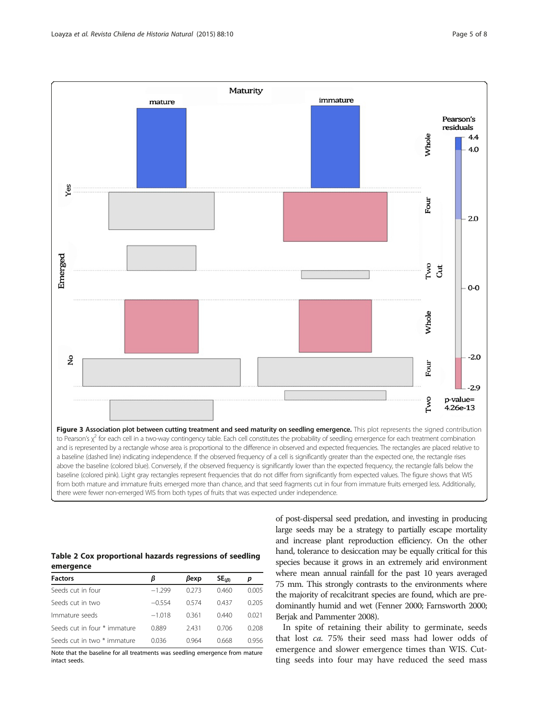<span id="page-4-0"></span>

Table 2 Cox proportional hazards regressions of seedling emergence

| <b>Factors</b>               | β        | βexp  | $SE_{(B)}$ | p     |
|------------------------------|----------|-------|------------|-------|
| Seeds cut in four            | $-1,299$ | 0.273 | 0460       | 0.005 |
| Seeds cut in two             | $-0.554$ | O 574 | 0437       | 0.205 |
| Immature seeds               | $-1.018$ | 0361  | 0440       | 0.021 |
| Seeds cut in four * immature | 0.889    | 2.431 | 0.706      | 0.208 |
| Seeds cut in two * immature  | 0036     | 0.964 | 0.668      | 0956  |

Note that the baseline for all treatments was seedling emergence from mature intact seeds.

of post-dispersal seed predation, and investing in producing large seeds may be a strategy to partially escape mortality and increase plant reproduction efficiency. On the other hand, tolerance to desiccation may be equally critical for this species because it grows in an extremely arid environment where mean annual rainfall for the past 10 years averaged 75 mm. This strongly contrasts to the environments where the majority of recalcitrant species are found, which are predominantly humid and wet (Fenner [2000](#page-6-0); Farnsworth [2000](#page-6-0); Berjak and Pammenter [2008](#page-6-0)).

In spite of retaining their ability to germinate, seeds that lost ca. 75% their seed mass had lower odds of emergence and slower emergence times than WIS. Cutting seeds into four may have reduced the seed mass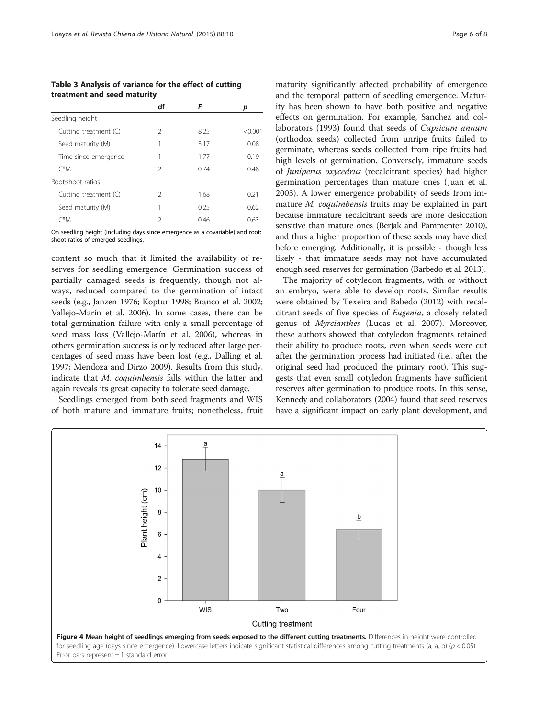<span id="page-5-0"></span>

| Table 3 Analysis of variance for the effect of cutting |  |
|--------------------------------------------------------|--|
| treatment and seed maturity                            |  |
|                                                        |  |

|                       |               | F    | р       |
|-----------------------|---------------|------|---------|
| Seedling height       |               |      |         |
| Cutting treatment (C) | 2             | 8.25 | < 0.001 |
| Seed maturity (M)     | 1             | 3.17 | 0.08    |
| Time since emergence  | 1             | 1.77 | 0.19    |
| $C^*M$                | $\mathcal{P}$ | 0.74 | 0.48    |
| Root:shoot ratios     |               |      |         |
| Cutting treatment (C) | $\mathcal{P}$ | 1.68 | 0.21    |
| Seed maturity (M)     | 1             | 0.25 | 0.62    |
| C*M                   | 2             | 0.46 | 0.63    |

On seedling height (including days since emergence as a covariable) and root: shoot ratios of emerged seedlings.

content so much that it limited the availability of reserves for seedling emergence. Germination success of partially damaged seeds is frequently, though not always, reduced compared to the germination of intact seeds (e.g., Janzen [1976;](#page-6-0) Koptur [1998;](#page-7-0) Branco et al. [2002](#page-6-0); Vallejo-Marín et al. [2006](#page-7-0)). In some cases, there can be total germination failure with only a small percentage of seed mass loss (Vallejo-Marín et al. [2006\)](#page-7-0), whereas in others germination success is only reduced after large percentages of seed mass have been lost (e.g., Dalling et al. [1997;](#page-6-0) Mendoza and Dirzo [2009\)](#page-7-0). Results from this study, indicate that M. coquimbensis falls within the latter and again reveals its great capacity to tolerate seed damage.

Seedlings emerged from both seed fragments and WIS of both mature and immature fruits; nonetheless, fruit maturity significantly affected probability of emergence and the temporal pattern of seedling emergence. Maturity has been shown to have both positive and negative effects on germination. For example, Sanchez and collaborators (1993) found that seeds of Capsicum annum (orthodox seeds) collected from unripe fruits failed to germinate, whereas seeds collected from ripe fruits had high levels of germination. Conversely, immature seeds of Juniperus oxycedrus (recalcitrant species) had higher germination percentages than mature ones (Juan et al. [2003](#page-7-0)). A lower emergence probability of seeds from immature M. coquimbensis fruits may be explained in part because immature recalcitrant seeds are more desiccation sensitive than mature ones (Berjak and Pammenter [2010](#page-6-0)), and thus a higher proportion of these seeds may have died before emerging. Additionally, it is possible - though less likely - that immature seeds may not have accumulated enough seed reserves for germination (Barbedo et al. [2013](#page-6-0)).

The majority of cotyledon fragments, with or without an embryo, were able to develop roots. Similar results were obtained by Texeira and Babedo [\(2012\)](#page-7-0) with recalcitrant seeds of five species of Eugenia, a closely related genus of Myrcianthes (Lucas et al. [2007\)](#page-7-0). Moreover, these authors showed that cotyledon fragments retained their ability to produce roots, even when seeds were cut after the germination process had initiated (i.e., after the original seed had produced the primary root). This suggests that even small cotyledon fragments have sufficient reserves after germination to produce roots. In this sense, Kennedy and collaborators (2004) found that seed reserves have a significant impact on early plant development, and

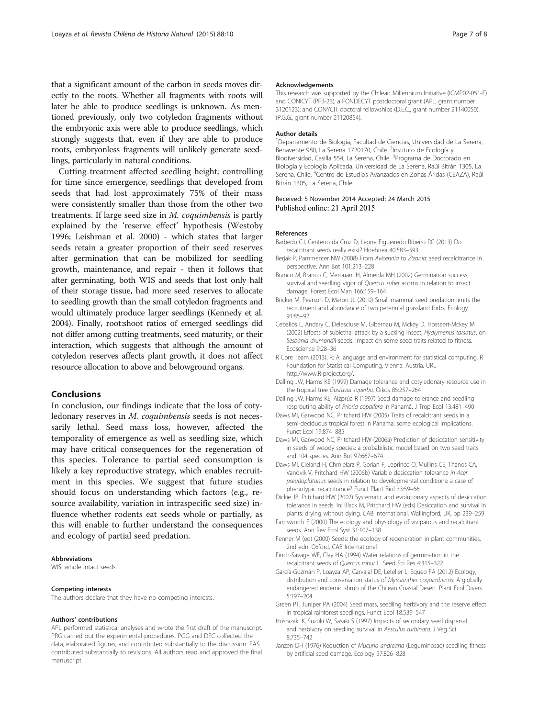<span id="page-6-0"></span>that a significant amount of the carbon in seeds moves directly to the roots. Whether all fragments with roots will later be able to produce seedlings is unknown. As mentioned previously, only two cotyledon fragments without the embryonic axis were able to produce seedlings, which strongly suggests that, even if they are able to produce roots, embryonless fragments will unlikely generate seedlings, particularly in natural conditions.

Cutting treatment affected seedling height; controlling for time since emergence, seedlings that developed from seeds that had lost approximately 75% of their mass were consistently smaller than those from the other two treatments. If large seed size in M. coquimbensis is partly explained by the 'reserve effect' hypothesis (Westoby [1996](#page-7-0); Leishman et al. [2000](#page-7-0)) - which states that larger seeds retain a greater proportion of their seed reserves after germination that can be mobilized for seedling growth, maintenance, and repair - then it follows that after germinating, both WIS and seeds that lost only half of their storage tissue, had more seed reserves to allocate to seedling growth than the small cotyledon fragments and would ultimately produce larger seedlings (Kennedy et al. [2004\)](#page-7-0). Finally, root:shoot ratios of emerged seedlings did not differ among cutting treatments, seed maturity, or their interaction, which suggests that although the amount of cotyledon reserves affects plant growth, it does not affect resource allocation to above and belowground organs.

## Conclusions

In conclusion, our findings indicate that the loss of cotyledonary reserves in M. coquimbensis seeds is not necessarily lethal. Seed mass loss, however, affected the temporality of emergence as well as seedling size, which may have critical consequences for the regeneration of this species. Tolerance to partial seed consumption is likely a key reproductive strategy, which enables recruitment in this species. We suggest that future studies should focus on understanding which factors (e.g., resource availability, variation in intraspecific seed size) influence whether rodents eat seeds whole or partially, as this will enable to further understand the consequences and ecology of partial seed predation.

#### Abbreviations

WIS: whole intact seeds.

#### Competing interests

The authors declare that they have no competing interests.

#### Authors' contributions

APL performed statistical analyses and wrote the first draft of the manuscript. PRG carried out the experimental procedures. PGG and DEC collected the data, elaborated figures, and contributed substantially to the discussion. FAS contributed substantially to revisions. All authors read and approved the final manuscript.

#### Acknowledgements

This research was supported by the Chilean Millennium Initiative (ICMP02-051-F) and CONICYT (PFB-23); a FONDECYT postdoctoral grant (APL, grant number 3120123); and CONYCIT doctoral fellowships (D.E.C., grant number 21140050), (P.G.G., grant number 21120854).

#### Author details

<sup>1</sup>Departamento de Biología, Facultad de Ciencias, Universidad de La Serena, Benavente 980, La Serena 1720170, Chile. <sup>2</sup>Instituto de Ecología y Biodiversidad, Casilla 554, La Serena, Chile. <sup>3</sup>Programa de Doctorado en Biología y Ecología Aplicada, Universidad de La Serena, Raúl Bitrán 1305, La Serena, Chile. <sup>4</sup>Centro de Estudios Avanzados en Zonas Áridas (CEAZA), Raú Bitrán 1305, La Serena, Chile.

#### Received: 5 November 2014 Accepted: 24 March 2015 Published online: 21 April 2015

#### References

- Barbedo CJ, Centeno da Cruz D, Leone Figueiredo Ribeiro RC (2013) Do recalcitrant seeds really exist? Hoehnea 40:583–593
- Berjak P, Pammenter NW (2008) From Avicennia to Zizania: seed recalcitrance in perspective. Ann Bot 101:213–228
- Branco M, Branco C, Merouani H, Almeida MH (2002) Germination success, survival and seedling vigor of Quercus suber acorns in relation to insect damage. Forest Ecol Man 166:159–164
- Bricker M, Pearson D, Maron JL (2010) Small mammal seed predation limits the recruitment and abundance of two perennial grassland forbs. Ecology 91:85–92
- Ceballos L, Andary C, Delescluse M, Gibernau M, Mckey D, Hossaert-Mckey M (2002) Effects of sublethal attack by a sucking insect, Hyalymenus tarsatus, on Sesbania drumondii seeds: impact on some seed traits related to fitness. Ecoscience 9:28–36
- R Core Team (2013). R: A language and environment for statistical computing. R Foundation for Statistical Computing, Vienna, Austria. URL [http://www.R-project.org/](http://www.r-project.org/).
- Dalling JW, Harms KE (1999) Damage tolerance and cotyledonary resource use in the tropical tree Gustavia superba. Oikos 85:257–264
- Dalling JW, Harms KE, Aizprúa R (1997) Seed damage tolerance and seedling resprouting ability of Prioria copaifera in Panamá. J Trop Ecol 13:481–490
- Daws MI, Garwood NC, Pritchard HW (2005) Traits of recalcitrant seeds in a semi-deciduous tropical forest in Panama: some ecological implications. Funct Ecol 19:874–885
- Daws MI, Garwood NC, Pritchard HW (2006a) Prediction of desiccation sensitivity in seeds of woody species: a probabilistic model based on two seed traits and 104 species. Ann Bot 97:667–674
- Daws MI, Cleland H, Chmielarz P, Gorian F, Leprince O, Mullins CE, Thanos CA, Vandvik V, Pritchard HW (2006b) Variable desiccation tolerance in Acer pseudoplatanus seeds in relation to developmental conditions: a case of phenotypic recalcitrance? Funct Plant Biol 33:59–66
- Dickie JB, Pritchard HW (2002) Systematic and evolutionary aspects of desiccation tolerance in seeds. In: Black M, Pritchard HW (eds) Desiccation and survival in plants: drying without dying. CAB International, Wallingford, UK, pp 239–259
- Farnsworth E (2000) The ecology and physiology of viviparous and recalcitrant seeds. Ann Rev Ecol Syst 31:107–138
- Fenner M (ed) (2000) Seeds: the ecology of regeneration in plant communities, 2nd edn. Oxford, CAB International
- Finch-Savage WE, Clay HA (1994) Water relations of germination in the recalcitrant seeds of Quercus robur L. Seed Sci Res 4:315–322
- García-Guzmán P, Loayza AP, Carvajal DE, Letelier L, Squeo FA (2012) Ecology, distribution and conservation status of Myrcianthes coquimbensis: A globally endangered endemic shrub of the Chilean Coastal Desert. Plant Ecol Divers 5:197–204
- Green PT, Juniper PA (2004) Seed mass, seedling herbivory and the reserve effect in tropical rainforest seedlings. Funct Ecol 18:539–547
- Hoshizaki K, Suzuki W, Sasaki S (1997) Impacts of secondary seed dispersal and herbivory on seedling survival in Aesculus turbinata. J Veg Sci 8:735–742
- Janzen DH (1976) Reduction of Mucuna andreana (Leguminosae) seedling fitness by artificial seed damage. Ecology 57:826–828